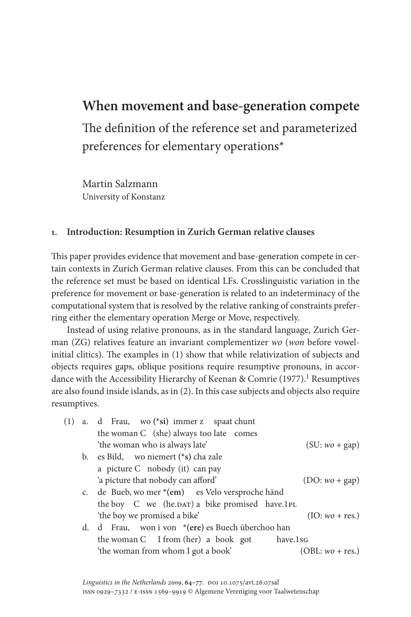# **When movement and base-generation compete**

The definition of the reference set and parameterized preferences for elementary operations\*

Martin Salzmann University of Konstanz

### **1. Introduction: Resumption in Zurich German relative clauses**

This paper provides evidence that movement and base-generation compete in certain contexts in Zurich German relative clauses. From this can be concluded that the reference set must be based on identical LFs. Crosslinguistic variation in the preference for movement or base-generation is related to an indeterminacy of the computational system that is resolved by the relative ranking of constraints preferring either the elementary operation Merge or Move, respectively.

Instead of using relative pronouns, as in the standard language, Zurich German (ZG) relatives feature an invariant complementizer *wo* (*won* before vowelinitial clitics). The examples in (1) show that while relativization of subjects and objects requires gaps, oblique positions require resumptive pronouns, in accordance with the Accessibility Hierarchy of Keenan & Comrie  $(1977)$ .<sup>1</sup> Resumptives are also found inside islands, as in (2). In this case subjects and objects also require resumptives.

|  | a. d Frau, wo (*si) immer z spaat chunt           |                   |
|--|---------------------------------------------------|-------------------|
|  | the woman C (she) always too late comes           |                   |
|  | 'the woman who is always late'                    | $(SU:wo + gap)$   |
|  | b. es Bild, wo niemert (*s) cha zale              |                   |
|  | a picture C nobody (it) can pay                   |                   |
|  | 'a picture that nobody can afford'                | $(DO:wo + gap)$   |
|  | c. de Bueb, wo mer *(em) es Velo versproche händ  |                   |
|  | the boy C we (he.DAT) a bike promised have.1PL    |                   |
|  | 'the boy we promised a bike'                      | $(IO:wo + res.)$  |
|  | d. d Frau, won i von *(ere) es Buech überchoo han |                   |
|  | the woman C I from (her) a book got<br>have.1sG   |                   |
|  | 'the woman from whom I got a book'                | $(OBL:wo + res.)$ |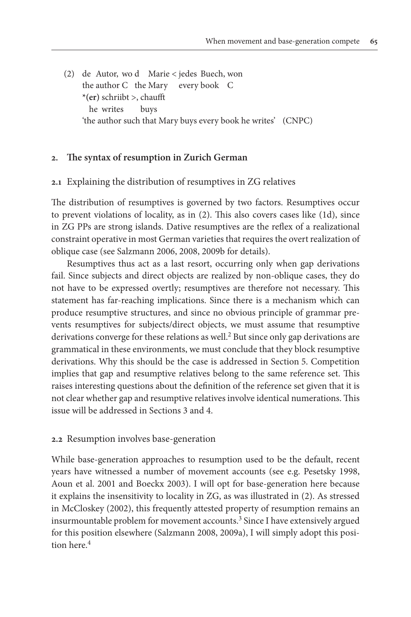(2) de Autor, wo d Marie < jedes Buech, won the author C the Mary every book C **\*(er)** schriibt >, chaufft he writes buys 'the author such that Mary buys every book he writes' (CNPC)

#### **2. The syntax of resumption in Zurich German**

#### **2.1** Explaining the distribution of resumptives in ZG relatives

The distribution of resumptives is governed by two factors. Resumptives occur to prevent violations of locality, as in (2). This also covers cases like (1d), since in ZG PPs are strong islands. Dative resumptives are the reflex of a realizational constraint operative in most German varieties that requires the overt realization of oblique case (see Salzmann 2006, 2008, 2009b for details).

Resumptives thus act as a last resort, occurring only when gap derivations fail. Since subjects and direct objects are realized by non-oblique cases, they do not have to be expressed overtly; resumptives are therefore not necessary. This statement has far-reaching implications. Since there is a mechanism which can produce resumptive structures, and since no obvious principle of grammar prevents resumptives for subjects/direct objects, we must assume that resumptive derivations converge for these relations as well.<sup>2</sup> But since only gap derivations are grammatical in these environments, we must conclude that they block resumptive derivations. Why this should be the case is addressed in Section 5. Competition implies that gap and resumptive relatives belong to the same reference set. This raises interesting questions about the definition of the reference set given that it is not clear whether gap and resumptive relatives involve identical numerations. This issue will be addressed in Sections 3 and 4.

#### **2.2** Resumption involves base-generation

While base-generation approaches to resumption used to be the default, recent years have witnessed a number of movement accounts (see e.g. Pesetsky 1998, Aoun et al. 2001 and Boeckx 2003). I will opt for base-generation here because it explains the insensitivity to locality in ZG, as was illustrated in (2). As stressed in McCloskey (2002), this frequently attested property of resumption remains an insurmountable problem for movement accounts.<sup>3</sup> Since I have extensively argued for this position elsewhere (Salzmann 2008, 2009a), I will simply adopt this position here.4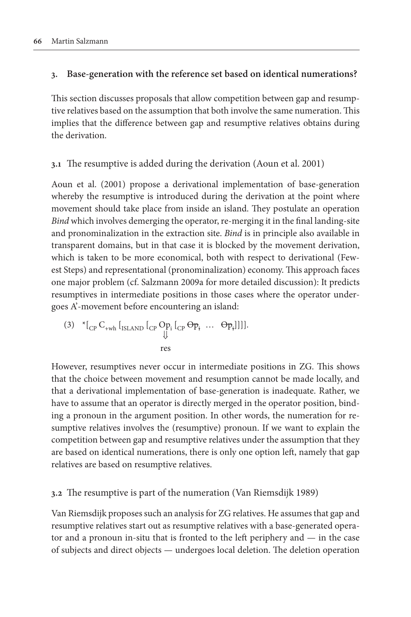# **3. Base-generation with the reference set based on identical numerations?**

This section discusses proposals that allow competition between gap and resumptive relatives based on the assumption that both involve the same numeration. This implies that the difference between gap and resumptive relatives obtains during the derivation.

# **3.1** The resumptive is added during the derivation (Aoun et al. 2001)

Aoun et al. (2001) propose a derivational implementation of base-generation whereby the resumptive is introduced during the derivation at the point where movement should take place from inside an island. They postulate an operation *Bind* which involves demerging the operator, re-merging it in the final landing-site and pronominalization in the extraction site. *Bind* is in principle also available in transparent domains, but in that case it is blocked by the movement derivation, which is taken to be more economical, both with respect to derivational (Fewest Steps) and representational (pronominalization) economy. This approach faces one major problem (cf. Salzmann 2009a for more detailed discussion): It predicts resumptives in intermediate positions in those cases where the operator undergoes A'-movement before encountering an island:

(3) 
$$
{}^{*}[{}_{CP}C_{+wh} [{}_{ISLAND} [{}_{CP}Op_i [{}_{CP}Op_i ... Op_i]]]]
$$
  
res

However, resumptives never occur in intermediate positions in ZG. This shows that the choice between movement and resumption cannot be made locally, and that a derivational implementation of base-generation is inadequate. Rather, we have to assume that an operator is directly merged in the operator position, binding a pronoun in the argument position. In other words, the numeration for resumptive relatives involves the (resumptive) pronoun. If we want to explain the competition between gap and resumptive relatives under the assumption that they are based on identical numerations, there is only one option left, namely that gap relatives are based on resumptive relatives.

# **3.2** The resumptive is part of the numeration (Van Riemsdijk 1989)

Van Riemsdijk proposes such an analysis for ZG relatives. He assumes that gap and resumptive relatives start out as resumptive relatives with a base-generated operator and a pronoun in-situ that is fronted to the left periphery and — in the case of subjects and direct objects — undergoes local deletion. The deletion operation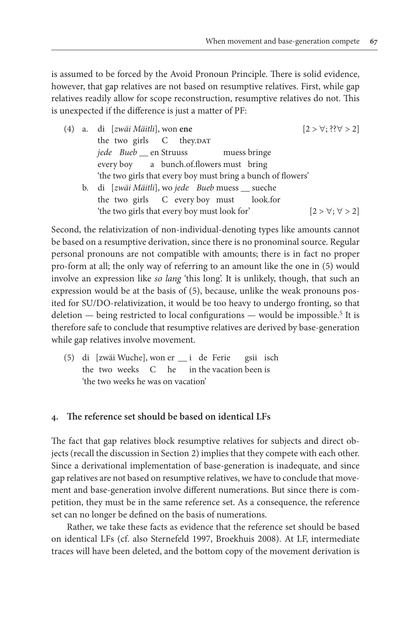is assumed to be forced by the Avoid Pronoun Principle. There is solid evidence, however, that gap relatives are not based on resumptive relatives. First, while gap relatives readily allow for scope reconstruction, resumptive relatives do not. This is unexpected if the difference is just a matter of PF:

| (4) a. di [zwäi Mäitli], won ene                             | $[2 > \forall$ ; ?? $\forall > 2]$ |
|--------------------------------------------------------------|------------------------------------|
| the two girls C they.DAT                                     |                                    |
| jede Bueb _ en Struuss muess bringe                          |                                    |
| every boy a bunch.of.flowers must bring                      |                                    |
| 'the two girls that every boy must bring a bunch of flowers' |                                    |
| b. di [zwäi Mäitli], wo jede Bueb muess _ sueche             |                                    |
| the two girls C every boy must look.for                      |                                    |
| 'the two girls that every boy must look for'                 | $[2 > \forall; \forall > 2]$       |

Second, the relativization of non-individual-denoting types like amounts cannot be based on a resumptive derivation, since there is no pronominal source. Regular personal pronouns are not compatible with amounts; there is in fact no proper pro-form at all; the only way of referring to an amount like the one in (5) would involve an expression like *so lang* 'this long'. It is unlikely, though, that such an expression would be at the basis of (5), because, unlike the weak pronouns posited for SU/DO-relativization, it would be too heavy to undergo fronting, so that deletion — being restricted to local configurations — would be impossible.<sup>5</sup> It is therefore safe to conclude that resumptive relatives are derived by base-generation while gap relatives involve movement.

(5) di [zwäi Wuche], won er \_\_ i de Ferie gsii isch the two weeks C he in the vacation been is 'the two weeks he was on vacation'

#### **4. The reference set should be based on identical LFs**

The fact that gap relatives block resumptive relatives for subjects and direct objects (recall the discussion in Section 2) implies that they compete with each other. Since a derivational implementation of base-generation is inadequate, and since gap relatives are not based on resumptive relatives, we have to conclude that movement and base-generation involve different numerations. But since there is competition, they must be in the same reference set. As a consequence, the reference set can no longer be defined on the basis of numerations.

Rather, we take these facts as evidence that the reference set should be based on identical LFs (cf. also Sternefeld 1997, Broekhuis 2008). At LF, intermediate traces will have been deleted, and the bottom copy of the movement derivation is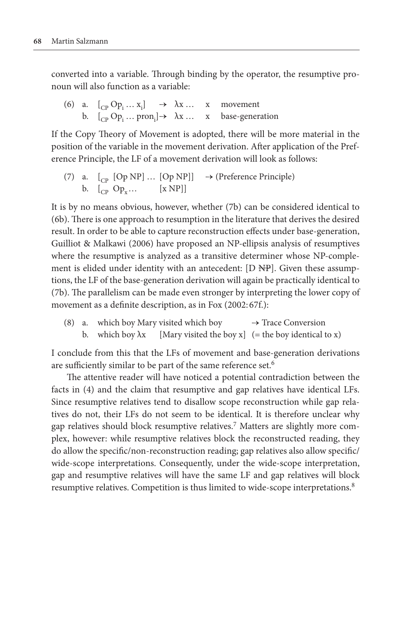converted into a variable. Through binding by the operator, the resumptive pronoun will also function as a variable:

(6) a.  $[{}_{\text{CP}}\text{Op}_i \dots \text{x}_i] \rightarrow \lambda \text{x} \dots \text{x}$  movement b.  $[{}_{\text{CP}}\text{Op}_i \dots \text{pron}_i] \rightarrow \lambda x \dots x$  base-generation

If the Copy Theory of Movement is adopted, there will be more material in the position of the variable in the movement derivation. After application of the Preference Principle, the LF of a movement derivation will look as follows:

(7) a.  $\begin{bmatrix} C_{\text{P}} & \text{[Op NP]} \dots & \text{[Op NP]} \end{bmatrix} \rightarrow (\text{Preference Principle})$ b.  $\left[\begin{matrix} \overline{C} & \overline{Op_v} \dots \\ \overline{Op_v} & \overline{Op_v} \dots \end{matrix}\right]$ 

It is by no means obvious, however, whether (7b) can be considered identical to (6b). There is one approach to resumption in the literature that derives the desired result. In order to be able to capture reconstruction effects under base-generation, Guilliot & Malkawi (2006) have proposed an NP-ellipsis analysis of resumptives where the resumptive is analyzed as a transitive determiner whose NP-complement is elided under identity with an antecedent: [D NP]. Given these assumptions, the LF of the base-generation derivation will again be practically identical to (7b). The parallelism can be made even stronger by interpreting the lower copy of movement as a definite description, as in Fox (2002: 67f.):

(8) a. which boy Mary visited which boy  $\rightarrow$  Trace Conversion b. which boy  $\lambda$ x [Mary visited the boy x] (= the boy identical to x)

I conclude from this that the LFs of movement and base-generation derivations are sufficiently similar to be part of the same reference set.<sup>6</sup>

The attentive reader will have noticed a potential contradiction between the facts in (4) and the claim that resumptive and gap relatives have identical LFs. Since resumptive relatives tend to disallow scope reconstruction while gap relatives do not, their LFs do not seem to be identical. It is therefore unclear why gap relatives should block resumptive relatives.7 Matters are slightly more complex, however: while resumptive relatives block the reconstructed reading, they do allow the specific/non-reconstruction reading; gap relatives also allow specific/ wide-scope interpretations. Consequently, under the wide-scope interpretation, gap and resumptive relatives will have the same LF and gap relatives will block resumptive relatives. Competition is thus limited to wide-scope interpretations.8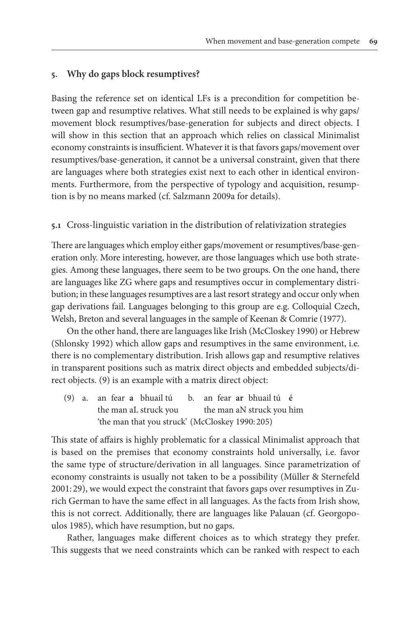# **5. Why do gaps block resumptives?**

Basing the reference set on identical LFs is a precondition for competition between gap and resumptive relatives. What still needs to be explained is why gaps/ movement block resumptives/base-generation for subjects and direct objects. I will show in this section that an approach which relies on classical Minimalist economy constraints is insufficient. Whatever it is that favors gaps/movement over resumptives/base-generation, it cannot be a universal constraint, given that there are languages where both strategies exist next to each other in identical environments. Furthermore, from the perspective of typology and acquisition, resumption is by no means marked (cf. Salzmann 2009a for details).

### **5.1** Cross-linguistic variation in the distribution of relativization strategies

There are languages which employ either gaps/movement or resumptives/base-generation only. More interesting, however, are those languages which use both strategies. Among these languages, there seem to be two groups. On the one hand, there are languages like ZG where gaps and resumptives occur in complementary distribution; in these languages resumptives are a last resort strategy and occur only when gap derivations fail. Languages belonging to this group are e.g. Colloquial Czech, Welsh, Breton and several languages in the sample of Keenan & Comrie (1977).

On the other hand, there are languages like Irish (McCloskey 1990) or Hebrew (Shlonsky 1992) which allow gaps and resumptives in the same environment, i.e. there is no complementary distribution. Irish allows gap and resumptive relatives in transparent positions such as matrix direct objects and embedded subjects/direct objects. (9) is an example with a matrix direct object:

(9) a. an fear **a** bhuail tú b. an fear **ar** bhuail tú **é** the man aL struck you the man aN struck you him 'the man that you struck' (McCloskey 1990: 205)

This state of affairs is highly problematic for a classical Minimalist approach that is based on the premises that economy constraints hold universally, i.e. favor the same type of structure/derivation in all languages. Since parametrization of economy constraints is usually not taken to be a possibility (Müller & Sternefeld 2001: 29), we would expect the constraint that favors gaps over resumptives in Zurich German to have the same effect in all languages. As the facts from Irish show, this is not correct. Additionally, there are languages like Palauan (cf. Georgopoulos 1985), which have resumption, but no gaps.

Rather, languages make different choices as to which strategy they prefer. This suggests that we need constraints which can be ranked with respect to each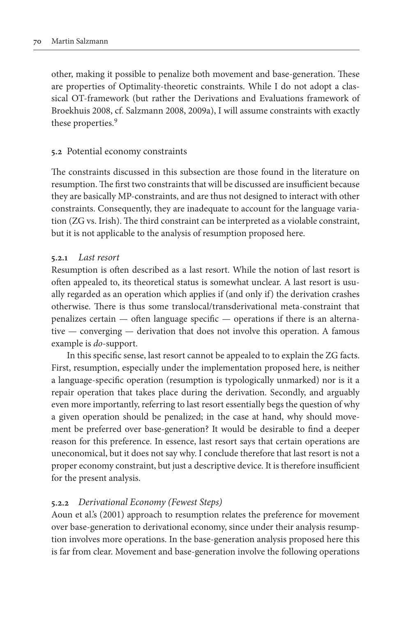other, making it possible to penalize both movement and base-generation. These are properties of Optimality-theoretic constraints. While I do not adopt a classical OT-framework (but rather the Derivations and Evaluations framework of Broekhuis 2008, cf. Salzmann 2008, 2009a), I will assume constraints with exactly these properties.<sup>9</sup>

#### **5.2** Potential economy constraints

The constraints discussed in this subsection are those found in the literature on resumption. The first two constraints that will be discussed are insufficient because they are basically MP-constraints, and are thus not designed to interact with other constraints. Consequently, they are inadequate to account for the language variation (ZG vs. Irish). The third constraint can be interpreted as a violable constraint, but it is not applicable to the analysis of resumption proposed here.

## **5.2.1** *Last resort*

Resumption is often described as a last resort. While the notion of last resort is often appealed to, its theoretical status is somewhat unclear. A last resort is usually regarded as an operation which applies if (and only if) the derivation crashes otherwise. There is thus some translocal/transderivational meta-constraint that penalizes certain — often language specific — operations if there is an alternative — converging — derivation that does not involve this operation. A famous example is *do*-support.

In this specific sense, last resort cannot be appealed to to explain the ZG facts. First, resumption, especially under the implementation proposed here, is neither a language-specific operation (resumption is typologically unmarked) nor is it a repair operation that takes place during the derivation. Secondly, and arguably even more importantly, referring to last resort essentially begs the question of why a given operation should be penalized; in the case at hand, why should movement be preferred over base-generation? It would be desirable to find a deeper reason for this preference. In essence, last resort says that certain operations are uneconomical, but it does not say why. I conclude therefore that last resort is not a proper economy constraint, but just a descriptive device. It is therefore insufficient for the present analysis.

### **5.2.2** *Derivational Economy (Fewest Steps)*

Aoun et al.'s (2001) approach to resumption relates the preference for movement over base-generation to derivational economy, since under their analysis resumption involves more operations. In the base-generation analysis proposed here this is far from clear. Movement and base-generation involve the following operations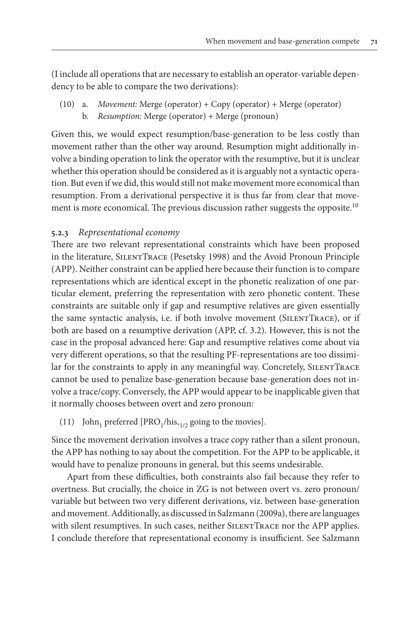(I include all operations that are necessary to establish an operator-variable dependency to be able to compare the two derivations):

(10) a. *Movement:* Merge (operator) + Copy (operator) + Merge (operator) b. *Resumption:* Merge (operator) + Merge (pronoun)

Given this, we would expect resumption/base-generation to be less costly than movement rather than the other way around. Resumption might additionally involve a binding operation to link the operator with the resumptive, but it is unclear whether this operation should be considered as it is arguably not a syntactic operation. But even if we did, this would still not make movement more economical than resumption. From a derivational perspective it is thus far from clear that movement is more economical. The previous discussion rather suggests the opposite.<sup>10</sup>

# **5.2.3** *Representational economy*

There are two relevant representational constraints which have been proposed in the literature, SilentTrace (Pesetsky 1998) and the Avoid Pronoun Principle (APP). Neither constraint can be applied here because their function is to compare representations which are identical except in the phonetic realization of one particular element, preferring the representation with zero phonetic content. These constraints are suitable only if gap and resumptive relatives are given essentially the same syntactic analysis, i.e. if both involve movement (SILENTTRACE), or if both are based on a resumptive derivation (APP, cf. 3.2). However, this is not the case in the proposal advanced here: Gap and resumptive relatives come about via very different operations, so that the resulting PF-representations are too dissimilar for the constraints to apply in any meaningful way. Concretely, SILENTTRACE cannot be used to penalize base-generation because base-generation does not involve a trace/copy. Conversely, the APP would appear to be inapplicable given that it normally chooses between overt and zero pronoun:

(11) John, preferred [PRO<sub>1</sub>/his<sub>\*1/2</sub> going to the movies].

Since the movement derivation involves a trace copy rather than a silent pronoun, the APP has nothing to say about the competition. For the APP to be applicable, it would have to penalize pronouns in general, but this seems undesirable.

Apart from these difficulties, both constraints also fail because they refer to overtness. But crucially, the choice in ZG is not between overt vs. zero pronoun/ variable but between two very different derivations, viz. between base-generation and movement. Additionally, as discussed in Salzmann (2009a), there are languages with silent resumptives. In such cases, neither SILENTTRACE nor the APP applies. I conclude therefore that representational economy is insufficient. See Salzmann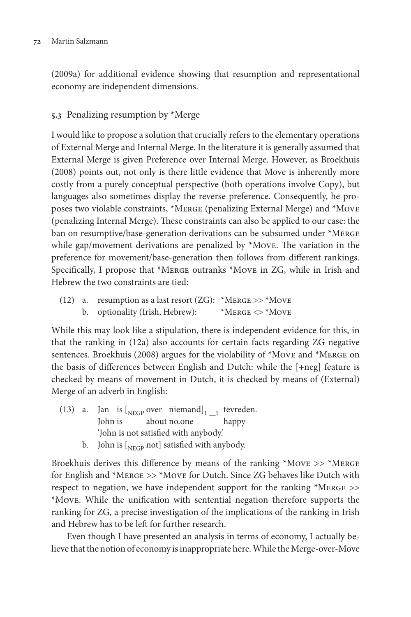(2009a) for additional evidence showing that resumption and representational economy are independent dimensions.

# **5.3** Penalizing resumption by \*Merge

I would like to propose a solution that crucially refers to the elementary operations of External Merge and Internal Merge. In the literature it is generally assumed that External Merge is given Preference over Internal Merge. However, as Broekhuis (2008) points out, not only is there little evidence that Move is inherently more costly from a purely conceptual perspective (both operations involve Copy), but languages also sometimes display the reverse preference. Consequently, he proposes two violable constraints, \*Merge (penalizing External Merge) and \*Move (penalizing Internal Merge). These constraints can also be applied to our case: the ban on resumptive/base-generation derivations can be subsumed under \*MERGE while gap/movement derivations are penalized by \*Move. The variation in the preference for movement/base-generation then follows from different rankings. Specifically, I propose that \*Merge outranks \*Move in ZG, while in Irish and Hebrew the two constraints are tied:

(12) a. resumption as a last resort (ZG):  $*$ MERGE >>  $*$ MovE b. optionality (Irish, Hebrew): \*Merge <> \*Move

While this may look like a stipulation, there is independent evidence for this, in that the ranking in (12a) also accounts for certain facts regarding ZG negative sentences. Broekhuis (2008) argues for the violability of \*Move and \*Merge on the basis of differences between English and Dutch: while the [+neg] feature is checked by means of movement in Dutch, it is checked by means of (External) Merge of an adverb in English:

- (13) a. Jan is  $\left[\begin{array}{cc}N_{\text{EGP}}\text{over } \text{niemand}\end{array}\right]_{1\_\_1}$  tevreden.<br>John is about no.one happy about no.one 'John is not satisfied with anybody.'
	- b. John is  $\left[$ <sub>NEGP</sub> not] satisfied with anybody.

Broekhuis derives this difference by means of the ranking  $*$ Move >>  $*$ Merge for English and \*Merge >> \*Move for Dutch. Since ZG behaves like Dutch with respect to negation, we have independent support for the ranking \*Merge >> \*Move. While the unification with sentential negation therefore supports the ranking for ZG, a precise investigation of the implications of the ranking in Irish and Hebrew has to be left for further research.

Even though I have presented an analysis in terms of economy, I actually believe that the notion of economy is inappropriate here. While the Merge-over-Move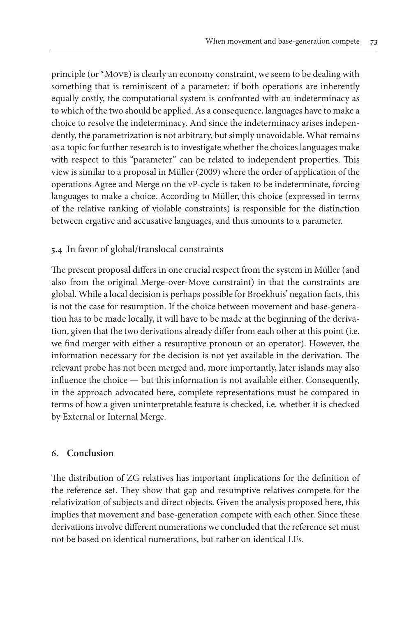principle (or \*Move) is clearly an economy constraint, we seem to be dealing with something that is reminiscent of a parameter: if both operations are inherently equally costly, the computational system is confronted with an indeterminacy as to which of the two should be applied. As a consequence, languages have to make a choice to resolve the indeterminacy. And since the indeterminacy arises independently, the parametrization is not arbitrary, but simply unavoidable. What remains as a topic for further research is to investigate whether the choices languages make with respect to this "parameter" can be related to independent properties. This view is similar to a proposal in Müller (2009) where the order of application of the operations Agree and Merge on the vP-cycle is taken to be indeterminate, forcing languages to make a choice. According to Müller, this choice (expressed in terms of the relative ranking of violable constraints) is responsible for the distinction between ergative and accusative languages, and thus amounts to a parameter.

# **5.4** In favor of global/translocal constraints

The present proposal differs in one crucial respect from the system in Müller (and also from the original Merge-over-Move constraint) in that the constraints are global. While a local decision is perhaps possible for Broekhuis' negation facts, this is not the case for resumption. If the choice between movement and base-generation has to be made locally, it will have to be made at the beginning of the derivation, given that the two derivations already differ from each other at this point (i.e. we find merger with either a resumptive pronoun or an operator). However, the information necessary for the decision is not yet available in the derivation. The relevant probe has not been merged and, more importantly, later islands may also influence the choice — but this information is not available either. Consequently, in the approach advocated here, complete representations must be compared in terms of how a given uninterpretable feature is checked, i.e. whether it is checked by External or Internal Merge.

#### **6. Conclusion**

The distribution of ZG relatives has important implications for the definition of the reference set. They show that gap and resumptive relatives compete for the relativization of subjects and direct objects. Given the analysis proposed here, this implies that movement and base-generation compete with each other. Since these derivations involve different numerations we concluded that the reference set must not be based on identical numerations, but rather on identical LFs.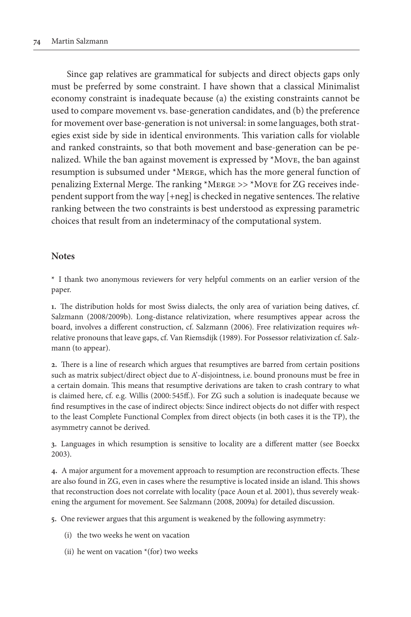Since gap relatives are grammatical for subjects and direct objects gaps only must be preferred by some constraint. I have shown that a classical Minimalist economy constraint is inadequate because (a) the existing constraints cannot be used to compare movement vs. base-generation candidates, and (b) the preference for movement over base-generation is not universal: in some languages, both strategies exist side by side in identical environments. This variation calls for violable and ranked constraints, so that both movement and base-generation can be penalized. While the ban against movement is expressed by \*Move, the ban against resumption is subsumed under \*Merge, which has the more general function of penalizing External Merge. The ranking \*Merge >> \*Move for ZG receives independent support from the way [+neg] is checked in negative sentences. The relative ranking between the two constraints is best understood as expressing parametric choices that result from an indeterminacy of the computational system.

#### **Notes**

**\*** I thank two anonymous reviewers for very helpful comments on an earlier version of the paper.

**1.** The distribution holds for most Swiss dialects, the only area of variation being datives, cf. Salzmann (2008/2009b). Long-distance relativization, where resumptives appear across the board, involves a different construction, cf. Salzmann (2006). Free relativization requires *wh*relative pronouns that leave gaps, cf. Van Riemsdijk (1989). For Possessor relativization cf. Salzmann (to appear).

**2.** There is a line of research which argues that resumptives are barred from certain positions such as matrix subject/direct object due to A'-disjointness, i.e. bound pronouns must be free in a certain domain. This means that resumptive derivations are taken to crash contrary to what is claimed here, cf. e.g. Willis (2000: 545ff.). For ZG such a solution is inadequate because we find resumptives in the case of indirect objects: Since indirect objects do not differ with respect to the least Complete Functional Complex from direct objects (in both cases it is the TP), the asymmetry cannot be derived.

**3.** Languages in which resumption is sensitive to locality are a different matter (see Boeckx 2003).

**4.** A major argument for a movement approach to resumption are reconstruction effects. These are also found in ZG, even in cases where the resumptive is located inside an island. This shows that reconstruction does not correlate with locality (pace Aoun et al. 2001), thus severely weakening the argument for movement. See Salzmann (2008, 2009a) for detailed discussion.

**5.** One reviewer argues that this argument is weakened by the following asymmetry:

- (i) the two weeks he went on vacation
- (ii) he went on vacation  $*(for)$  two weeks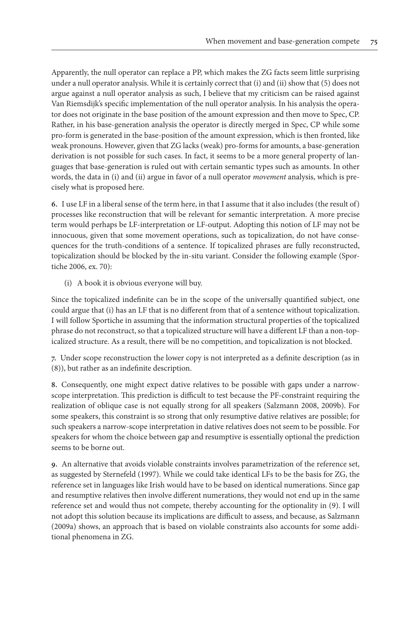Apparently, the null operator can replace a PP, which makes the ZG facts seem little surprising under a null operator analysis. While it is certainly correct that (i) and (ii) show that (5) does not argue against a null operator analysis as such, I believe that my criticism can be raised against Van Riemsdijk's specific implementation of the null operator analysis. In his analysis the operator does not originate in the base position of the amount expression and then move to Spec, CP. Rather, in his base-generation analysis the operator is directly merged in Spec, CP while some pro-form is generated in the base-position of the amount expression, which is then fronted, like weak pronouns. However, given that ZG lacks (weak) pro-forms for amounts, a base-generation derivation is not possible for such cases. In fact, it seems to be a more general property of languages that base-generation is ruled out with certain semantic types such as amounts. In other words, the data in (i) and (ii) argue in favor of a null operator *movement* analysis, which is precisely what is proposed here.

**6.** I use LF in a liberal sense of the term here, in that I assume that it also includes (the result of) processes like reconstruction that will be relevant for semantic interpretation. A more precise term would perhaps be LF-interpretation or LF-output. Adopting this notion of LF may not be innocuous, given that some movement operations, such as topicalization, do not have consequences for the truth-conditions of a sentence. If topicalized phrases are fully reconstructed, topicalization should be blocked by the in-situ variant. Consider the following example (Sportiche 2006, ex. 70):

(i) A book it is obvious everyone will buy.

Since the topicalized indefinite can be in the scope of the universally quantified subject, one could argue that (i) has an LF that is no different from that of a sentence without topicalization. I will follow Sportiche in assuming that the information structural properties of the topicalized phrase do not reconstruct, so that a topicalized structure will have a different LF than a non-topicalized structure. As a result, there will be no competition, and topicalization is not blocked.

**7.** Under scope reconstruction the lower copy is not interpreted as a definite description (as in (8)), but rather as an indefinite description.

**8.** Consequently, one might expect dative relatives to be possible with gaps under a narrowscope interpretation. This prediction is difficult to test because the PF-constraint requiring the realization of oblique case is not equally strong for all speakers (Salzmann 2008, 2009b). For some speakers, this constraint is so strong that only resumptive dative relatives are possible; for such speakers a narrow-scope interpretation in dative relatives does not seem to be possible. For speakers for whom the choice between gap and resumptive is essentially optional the prediction seems to be borne out.

**9.** An alternative that avoids violable constraints involves parametrization of the reference set, as suggested by Sternefeld (1997). While we could take identical LFs to be the basis for ZG, the reference set in languages like Irish would have to be based on identical numerations. Since gap and resumptive relatives then involve different numerations, they would not end up in the same reference set and would thus not compete, thereby accounting for the optionality in (9). I will not adopt this solution because its implications are difficult to assess, and because, as Salzmann (2009a) shows, an approach that is based on violable constraints also accounts for some additional phenomena in ZG.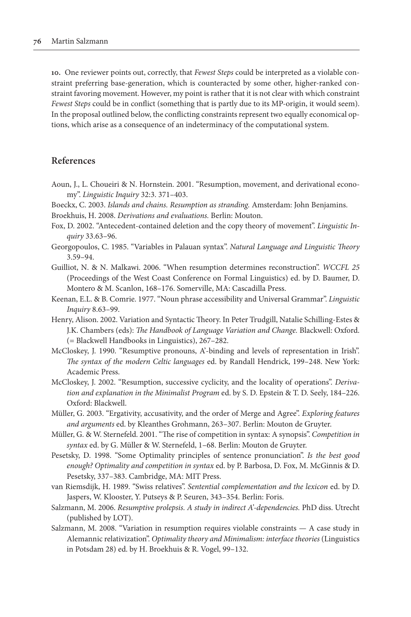**10.** One reviewer points out, correctly, that *Fewest Steps* could be interpreted as a violable constraint preferring base-generation, which is counteracted by some other, higher-ranked constraint favoring movement. However, my point is rather that it is not clear with which constraint *Fewest Steps* could be in conflict (something that is partly due to its MP-origin, it would seem). In the proposal outlined below, the conflicting constraints represent two equally economical options, which arise as a consequence of an indeterminacy of the computational system.

### **References**

- Aoun, J., L. Choueiri & N. Hornstein. 2001. "Resumption, movement, and derivational economy". *Linguistic Inquiry* 32:3. 371–403.
- Boeckx, C. 2003. *Islands and chains. Resumption as stranding.* Amsterdam: John Benjamins. Broekhuis, H. 2008. *Derivations and evaluations.* Berlin: Mouton.
- Fox, D. 2002. "Antecedent-contained deletion and the copy theory of movement". *Linguistic Inquiry* 33.63–96.
- Georgopoulos, C. 1985. "Variables in Palauan syntax". *Natural Language and Linguistic Theory* 3.59–94.
- Guilliot, N. & N. Malkawi. 2006. "When resumption determines reconstruction". *WCCFL 25* (Proceedings of the West Coast Conference on Formal Linguistics) ed. by D. Baumer, D. Montero & M. Scanlon, 168–176. Somerville, MA: Cascadilla Press.
- Keenan, E.L. & B. Comrie. 1977. "Noun phrase accessibility and Universal Grammar". *Linguistic Inquiry* 8.63–99.
- Henry, Alison. 2002. Variation and Syntactic Theory. In Peter Trudgill, Natalie Schilling-Estes & J.K. Chambers (eds): *The Handbook of Language Variation and Change.* Blackwell: Oxford. (= Blackwell Handbooks in Linguistics), 267–282.
- McCloskey, J. 1990. "Resumptive pronouns, A'-binding and levels of representation in Irish". *The syntax of the modern Celtic languages* ed. by Randall Hendrick, 199–248. New York: Academic Press.
- McCloskey, J. 2002. "Resumption, successive cyclicity, and the locality of operations". *Derivation and explanation in the Minimalist Program* ed. by S. D. Epstein & T. D. Seely, 184–226. Oxford: Blackwell.
- Müller, G. 2003. "Ergativity, accusativity, and the order of Merge and Agree". *Exploring features and arguments* ed. by Kleanthes Grohmann, 263–307. Berlin: Mouton de Gruyter.
- Müller, G. & W. Sternefeld. 2001. "The rise of competition in syntax: A synopsis". *Competition in syntax* ed. by G. Müller & W. Sternefeld, 1–68. Berlin: Mouton de Gruyter.
- Pesetsky, D. 1998. "Some Optimality principles of sentence pronunciation". *Is the best good enough? Optimality and competition in syntax* ed. by P. Barbosa, D. Fox, M. McGinnis & D. Pesetsky, 337–383. Cambridge, MA: MIT Press.
- van Riemsdijk, H. 1989. "Swiss relatives". *Sentential complementation and the lexicon* ed. by D. Jaspers, W. Klooster, Y. Putseys & P. Seuren, 343–354. Berlin: Foris.
- Salzmann, M. 2006. *Resumptive prolepsis. A study in indirect A'-dependencies.* PhD diss. Utrecht (published by LOT).
- Salzmann, M. 2008. "Variation in resumption requires violable constraints A case study in Alemannic relativization". *Optimality theory and Minimalism: interface theories* (Linguistics in Potsdam 28) ed. by H. Broekhuis & R. Vogel, 99–132.